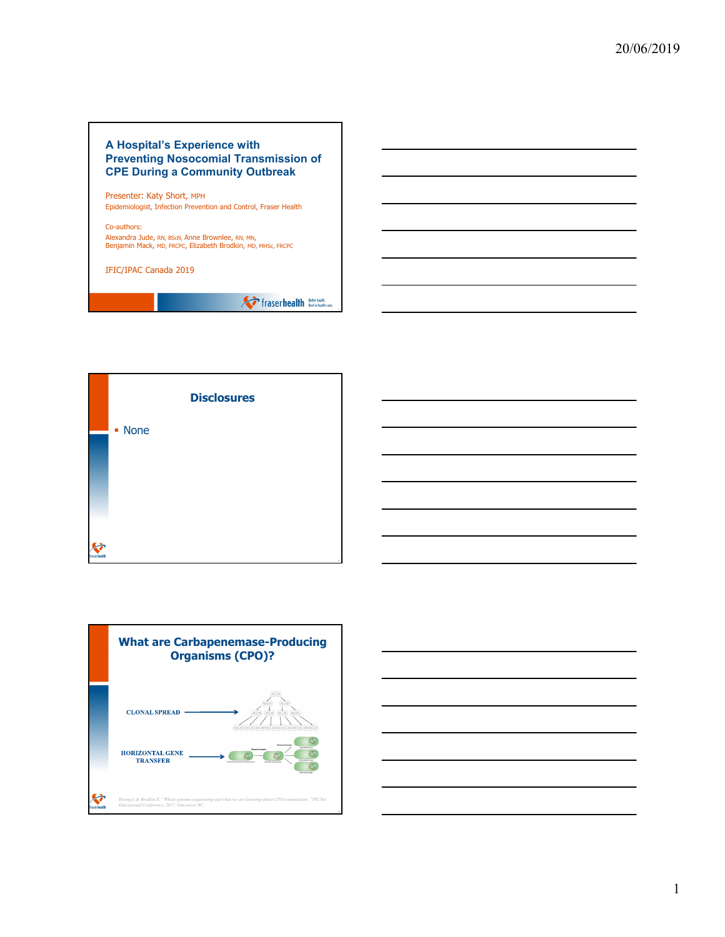## **A Hospital's Experience with Preventing Nosocomial Transmission of CPE During a Community Outbreak**

Presenter: Katy Short, MPH Epidemiologist, Infection Prevention and Control, Fraser Health

Co-authors: Alexandra Jude, RN, BScN, Anne Brownlee, RN, MN, Benjamin Mack, MD, FRCPC, Elizabeth Brodkin, MD, MHSc, FRCPC

IFIC/IPAC Canada 2019

**A** fraserhealth **Retter health** 





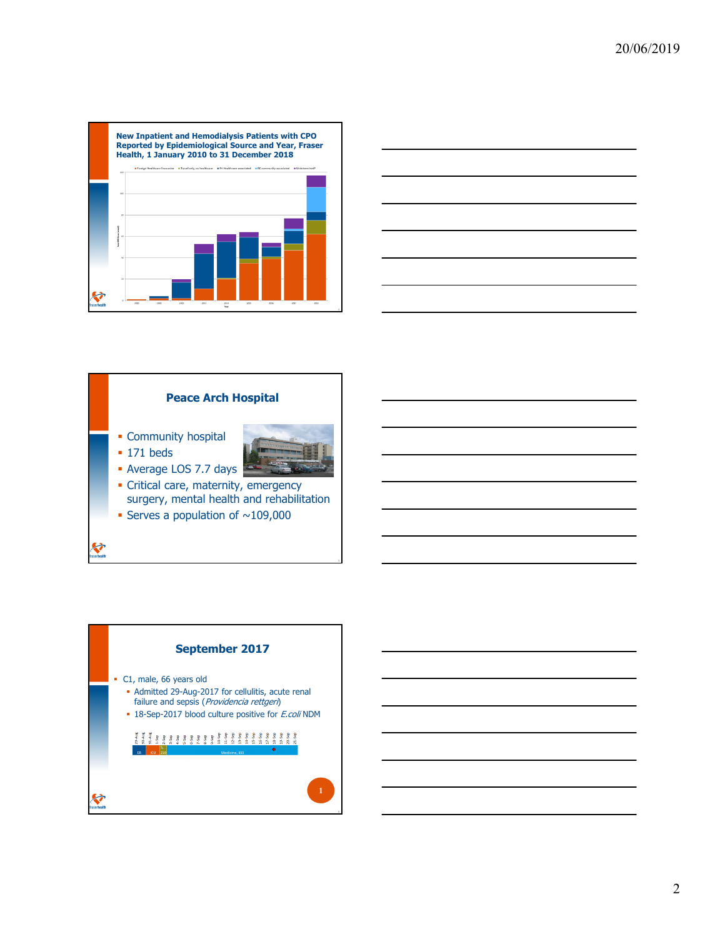





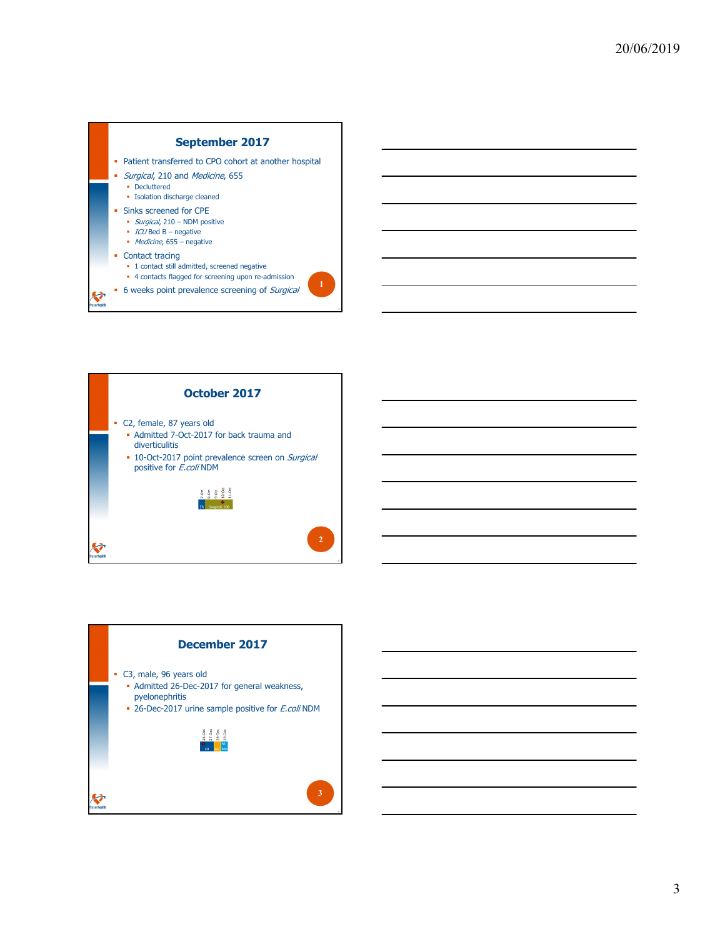





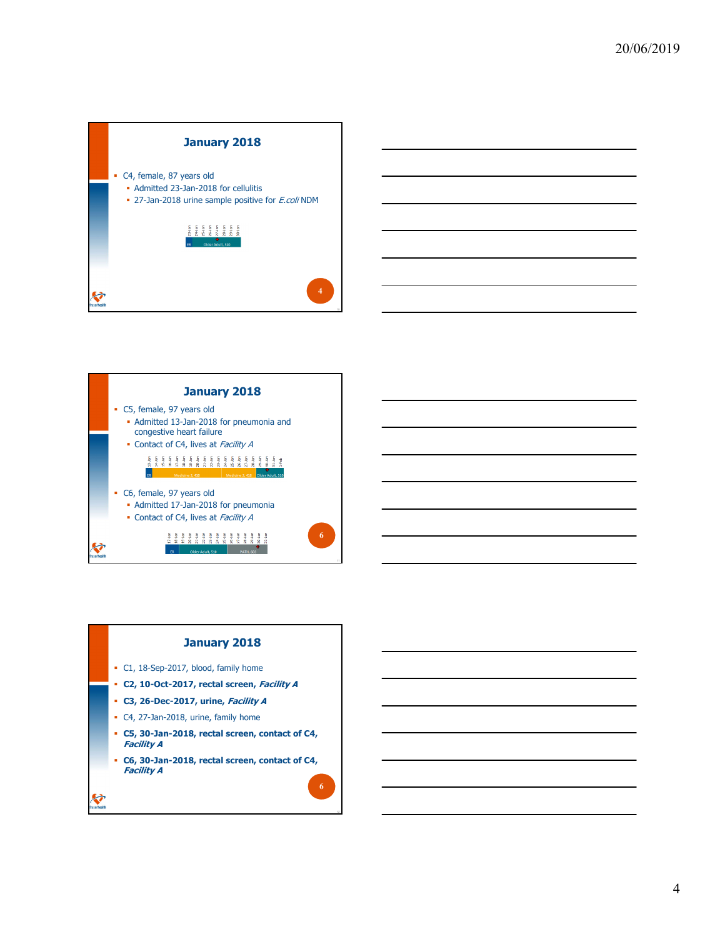



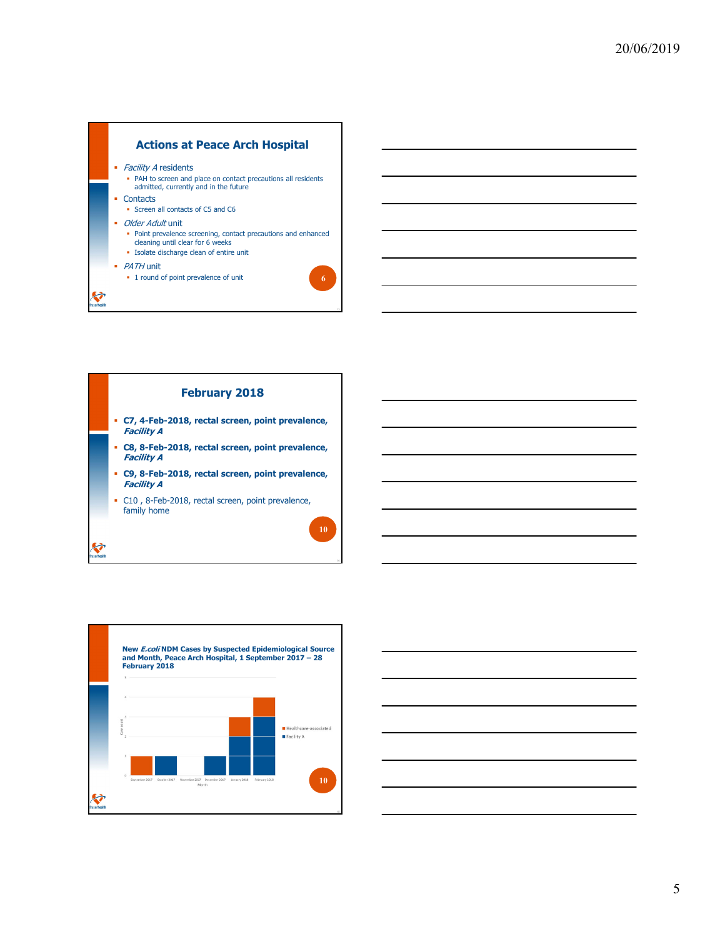





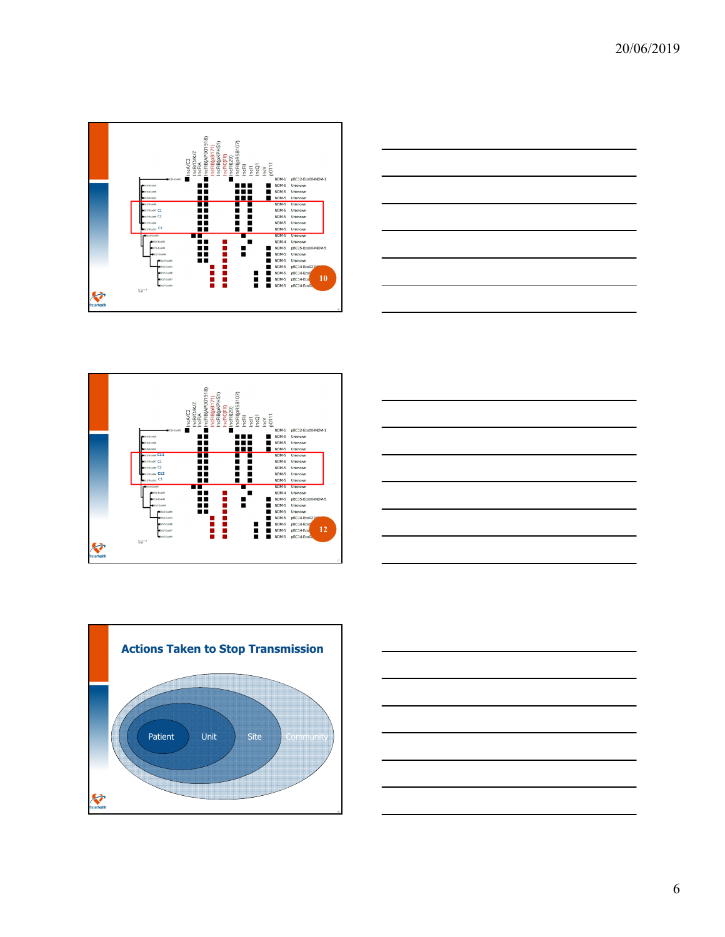









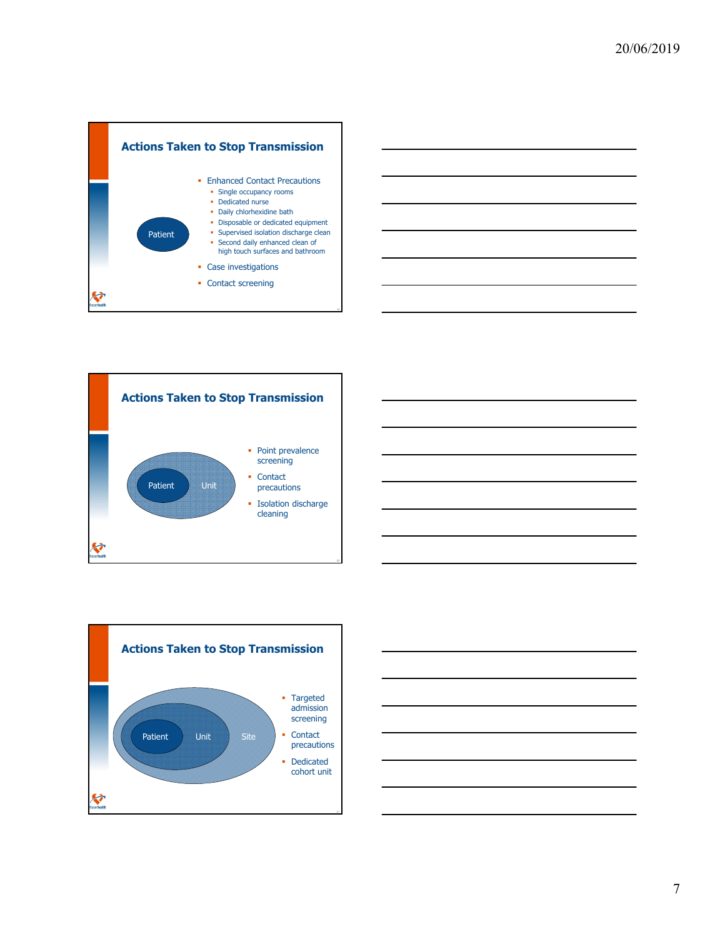







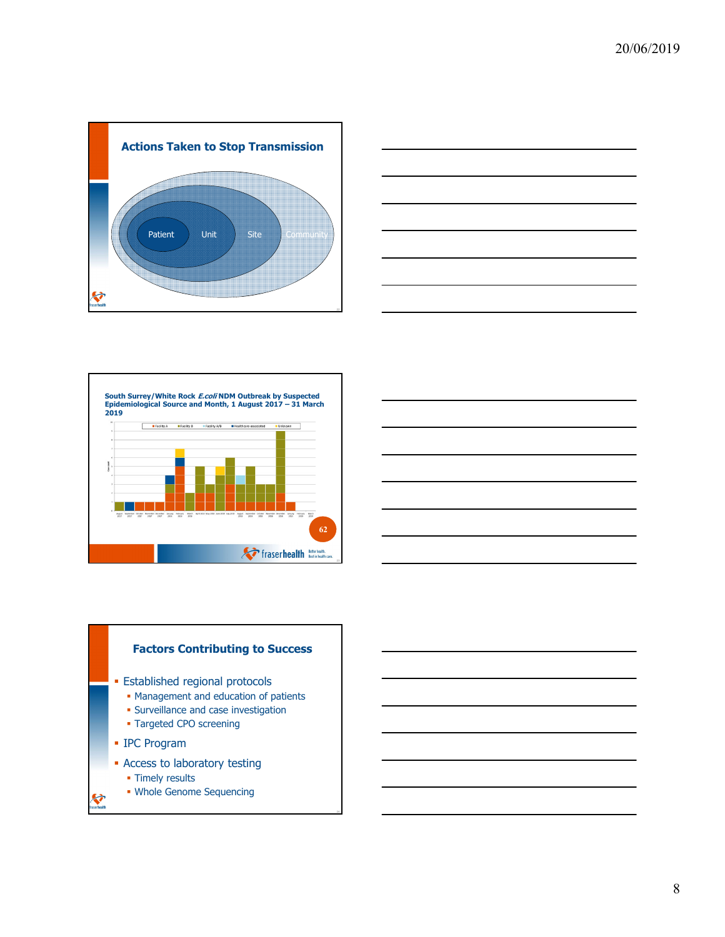